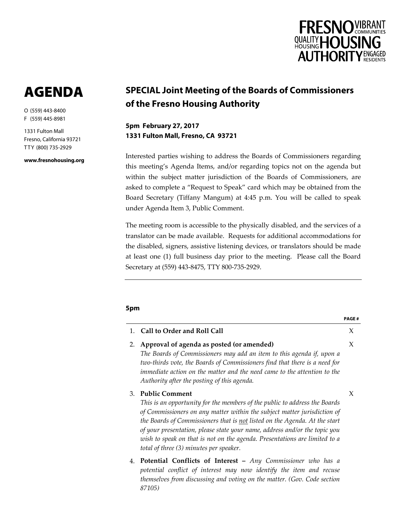

**PAGE #**

# AGENDA

O (559) 443-8400 F (559) 445-8981

1331 Fulton Mall Fresno, California 93721 TTY (800) 735-2929

**www.fresnohousing.org**

# **SPECIAL Joint Meeting of the Boards of Commissioners of the Fresno Housing Authority**

**5pm February 27, 2017 1331 Fulton Mall, Fresno, CA 93721**

Interested parties wishing to address the Boards of Commissioners regarding this meeting's Agenda Items, and/or regarding topics not on the agenda but within the subject matter jurisdiction of the Boards of Commissioners, are asked to complete a "Request to Speak" card which may be obtained from the Board Secretary (Tiffany Mangum) at 4:45 p.m. You will be called to speak under Agenda Item 3, Public Comment.

The meeting room is accessible to the physically disabled, and the services of a translator can be made available. Requests for additional accommodations for the disabled, signers, assistive listening devices, or translators should be made at least one (1) full business day prior to the meeting. Please call the Board Secretary at (559) 443-8475, TTY 800-735-2929.

# **5pm**

*87105)*

|    | 1. Call to Order and Roll Call                                                                                                                                                                                                                                                                                                                                                                                                                                       | X |
|----|----------------------------------------------------------------------------------------------------------------------------------------------------------------------------------------------------------------------------------------------------------------------------------------------------------------------------------------------------------------------------------------------------------------------------------------------------------------------|---|
| 2. | Approval of agenda as posted (or amended)<br>The Boards of Commissioners may add an item to this agenda if, upon a<br>two-thirds vote, the Boards of Commissioners find that there is a need for<br>immediate action on the matter and the need came to the attention to the<br>Authority after the posting of this agenda.                                                                                                                                          | X |
| 3. | <b>Public Comment</b><br>This is an opportunity for the members of the public to address the Boards<br>of Commissioners on any matter within the subject matter jurisdiction of<br>the Boards of Commissioners that is not listed on the Agenda. At the start<br>of your presentation, please state your name, address and/or the topic you<br>wish to speak on that is not on the agenda. Presentations are limited to a<br>total of three (3) minutes per speaker. | X |
|    | 4. Potential Conflicts of Interest - Any Commissioner who has a<br>potential conflict of interest may now identify the item and recuse<br>themselves from discussing and voting on the matter. (Gov. Code section                                                                                                                                                                                                                                                    |   |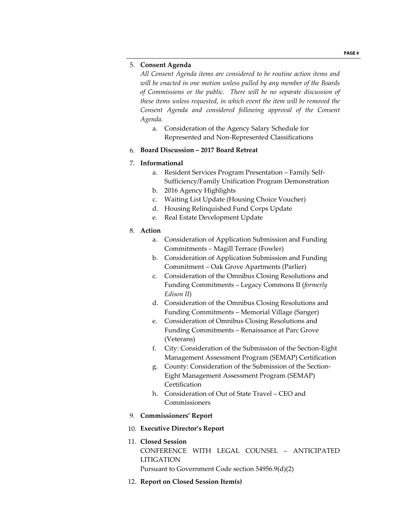### 5. **Consent Agenda**

*All Consent Agenda items are considered to be routine action items and will be enacted in one motion unless pulled by any member of the Boards of Commissions or the public. There will be no separate discussion of these items unless requested, in which event the item will be removed the Consent Agenda and considered following approval of the Consent Agenda.*

a. Consideration of the Agency Salary Schedule for Represented and Non-Represented Classifications

#### 6. **Board Discussion – 2017 Board Retreat**

# 7. **Informational**

- a. Resident Services Program Presentation Family Self-Sufficiency/Family Unification Program Demonstration
- b. 2016 Agency Highlights
- c. Waiting List Update (Housing Choice Voucher)
- d. Housing Relinquished Fund Corps Update
- e. Real Estate Development Update

#### 8. **Action**

- a. Consideration of Application Submission and Funding Commitments – Magill Terrace (Fowler)
- b. Consideration of Application Submission and Funding Commitment – Oak Grove Apartments (Parlier)
- c. Consideration of the Omnibus Closing Resolutions and Funding Commitments – Legacy Commons II (*formerly Edison II*)
- d. Consideration of the Omnibus Closing Resolutions and Funding Commitments – Memorial Village (Sanger)
- e. Consideration of Omnibus Closing Resolutions and Funding Commitments – Renaissance at Parc Grove (Veterans)
- f. City: Consideration of the Submission of the Section-Eight Management Assessment Program (SEMAP) Certification
- g. County: Consideration of the Submission of the Section-Eight Management Assessment Program (SEMAP) Certification
- h. Consideration of Out of State Travel CEO and Commissioners
- 9. **Commissioners' Report**
- 10. **Executive Director's Report**
- 11. **Closed Session** CONFERENCE WITH LEGAL COUNSEL – ANTICIPATED LITIGATION Pursuant to Government Code section 54956.9(d)(2)
- 12. **Report on Closed Session Item(s)**